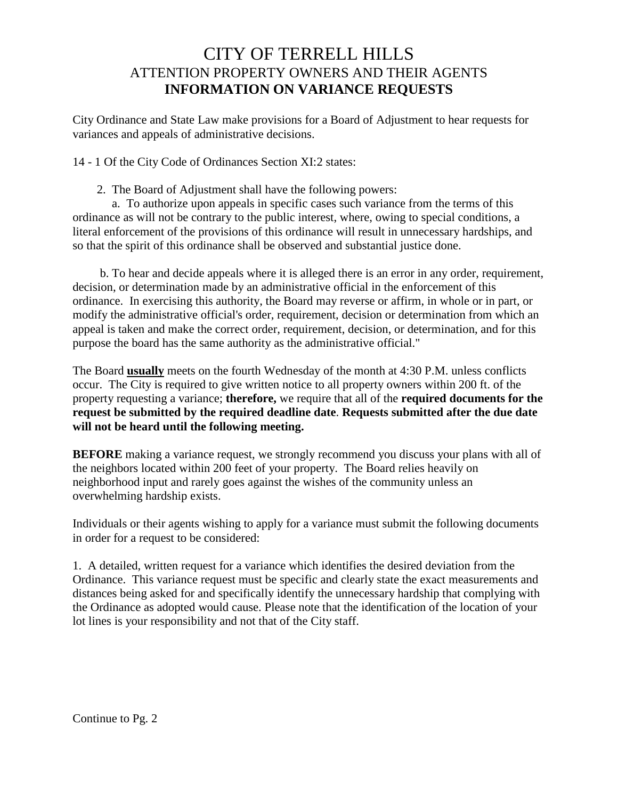## CITY OF TERRELL HILLS ATTENTION PROPERTY OWNERS AND THEIR AGENTS **INFORMATION ON VARIANCE REQUESTS**

City Ordinance and State Law make provisions for a Board of Adjustment to hear requests for variances and appeals of administrative decisions.

14 - 1 Of the City Code of Ordinances Section XI:2 states:

2. The Board of Adjustment shall have the following powers:

 a. To authorize upon appeals in specific cases such variance from the terms of this ordinance as will not be contrary to the public interest, where, owing to special conditions, a literal enforcement of the provisions of this ordinance will result in unnecessary hardships, and so that the spirit of this ordinance shall be observed and substantial justice done.

 b. To hear and decide appeals where it is alleged there is an error in any order, requirement, decision, or determination made by an administrative official in the enforcement of this ordinance. In exercising this authority, the Board may reverse or affirm, in whole or in part, or modify the administrative official's order, requirement, decision or determination from which an appeal is taken and make the correct order, requirement, decision, or determination, and for this purpose the board has the same authority as the administrative official."

The Board **usually** meets on the fourth Wednesday of the month at 4:30 P.M. unless conflicts occur. The City is required to give written notice to all property owners within 200 ft. of the property requesting a variance; **therefore,** we require that all of the **required documents for the request be submitted by the required deadline date**. **Requests submitted after the due date will not be heard until the following meeting.**

**BEFORE** making a variance request, we strongly recommend you discuss your plans with all of the neighbors located within 200 feet of your property. The Board relies heavily on neighborhood input and rarely goes against the wishes of the community unless an overwhelming hardship exists.

Individuals or their agents wishing to apply for a variance must submit the following documents in order for a request to be considered:

1. A detailed, written request for a variance which identifies the desired deviation from the Ordinance. This variance request must be specific and clearly state the exact measurements and distances being asked for and specifically identify the unnecessary hardship that complying with the Ordinance as adopted would cause. Please note that the identification of the location of your lot lines is your responsibility and not that of the City staff.